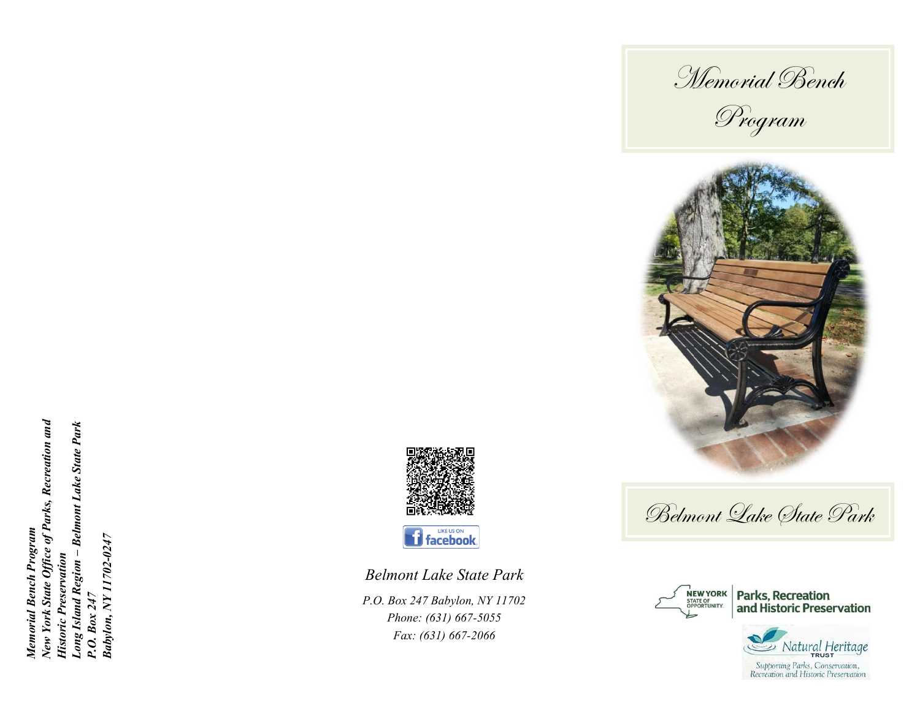Memorial Bench Program<br>New York State Office of Parks, Recreation and *New York State Office of Parks, Recreation and*  Long Island Region – Belmont Lake State Park<br>P.O. Box 247<br>Babylon, NY 11702-0247 *– Belmont Lake State Park Memorial Bench Program Babylon, NY 11702-0247* **Historic Preservation** *Historic Preservation Long Island Region* 



**facebook** 

*Belmont Lake State Park*

*P.O. Box 247 Babylon, NY 11702 Phone: (631) 667-5055 Fax: (631) 667-2066*



Program



Belmont Lake State Park